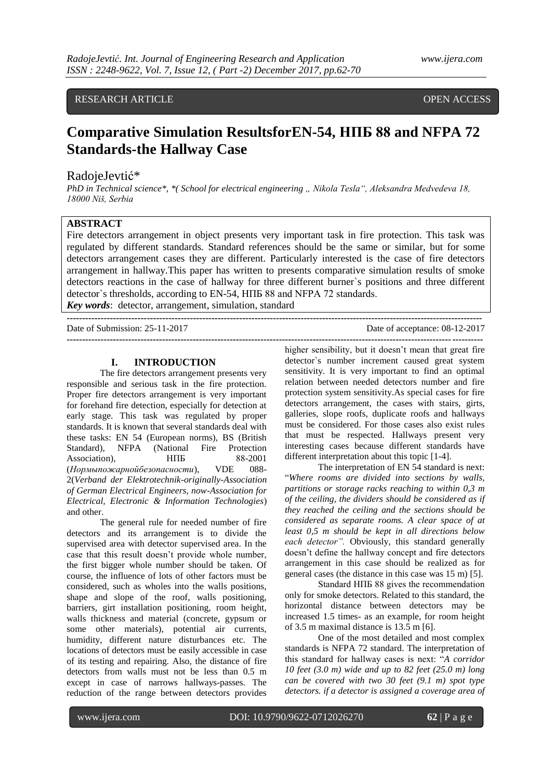# RESEARCH ARTICLE **Superintendent and the COVID-Second COVID-Second COVID-Second COVID-Second COVID-Second COVID-**

**Standards-the Hallway Case**

# **Comparative Simulation ResultsforEN-54, НПБ 88 and NFPA 72**

# RadojeJevtić\*

*PhD in Technical science\*, \*( School for electrical engineering ., Nikola Tesla", Aleksandra Medvedeva 18, 18000 Niš, Serbia*

# **ABSTRACT**

Fire detectors arrangement in object presents very important task in fire protection. This task was regulated by different standards. Standard references should be the same or similar, but for some detectors arrangement cases they are different. Particularly interested is the case of fire detectors arrangement in hallway.This paper has written to presents comparative simulation results of smoke detectors reactions in the case of hallway for three different burner`s positions and three different detector`s thresholds, according to EN-54, НПБ 88 and NFPA 72 standards.

*Key words*: detector, arrangement, simulation, standard

**---------------------------------------------------------------------------------------------------------------------------------------** Date of Submission: 25-11-2017 Date of acceptance: 08-12-2017 **---------------------------------------------------------------------------------------------------------------------------------------**

## **I. INTRODUCTION**

The fire detectors arrangement presents very responsible and serious task in the fire protection. Proper fire detectors arrangement is very important for forehand fire detection, especially for detection at early stage. This task was regulated by proper standards. It is known that several standards deal with these tasks: EN 54 (European norms), BS (British Standard), NFPA (National Fire Protection Association), HIIE 88-2001 (*Нормыпожарнойбезопасности*), VDE 088- 2(*Verband der Elektrotechnik-originally-Association of German Electrical Engineers, now-Association for Electrical, Electronic & Information Technologies*) and other.

The general rule for needed number of fire detectors and its arrangement is to divide the supervised area with detector supervised area. In the case that this result doesn't provide whole number, the first bigger whole number should be taken. Of course, the influence of lots of other factors must be considered, such as wholes into the walls positions, shape and slope of the roof, walls positioning, barriers, girt installation positioning, room height, walls thickness and material (concrete, gypsum or some other materials), potential air currents, humidity, different nature disturbances etc. The locations of detectors must be easily accessible in case of its testing and repairing. Also, the distance of fire detectors from walls must not be less than 0.5 m except in case of narrows hallways-passes. The reduction of the range between detectors provides

higher sensibility, but it doesn't mean that great fire detector`s number increment caused great system sensitivity. It is very important to find an optimal relation between needed detectors number and fire protection system sensitivity.As special cases for fire detectors arrangement, the cases with stairs, girts, galleries, slope roofs, duplicate roofs and hallways must be considered. For those cases also exist rules that must be respected. Hallways present very interesting cases because different standards have different interpretation about this topic [1-4].

The interpretation of EN 54 standard is next: "*Where rooms are divided into sections by walls, partitions or storage racks reaching to within 0,3 m of the ceiling, the dividers should be considered as if they reached the ceiling and the sections should be considered as separate rooms. A clear space of at least 0,5 m should be kept in all directions below each detector".* Obviously, this standard generally doesn't define the hallway concept and fire detectors arrangement in this case should be realized as for general cases (the distance in this case was 15 m) [5].

Standard НПБ 88 gives the recommendation only for smoke detectors. Related to this standard, the horizontal distance between detectors may be increased 1.5 times- as an example, for room height of 3.5 m maximal distance is 13.5 m [6].

One of the most detailed and most complex standards is NFPA 72 standard. The interpretation of this standard for hallway cases is next: "*A corridor 10 feet (3.0 m) wide and up to 82 feet (25.0 m) long can be covered with two 30 feet (9.1 m) spot type detectors. if a detector is assigned a coverage area of*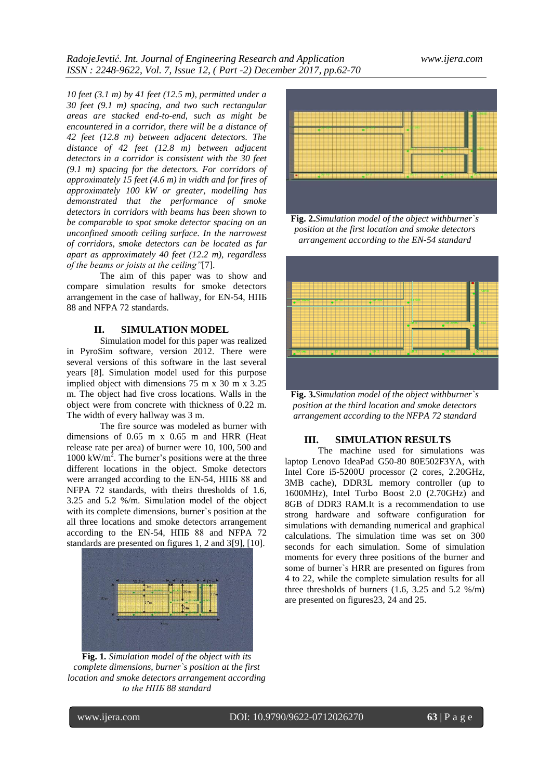*10 feet (3.1 m) by 41 feet (12.5 m), permitted under a 30 feet (9.1 m) spacing, and two such rectangular areas are stacked end-to-end, such as might be encountered in a corridor, there will be a distance of 42 feet (12.8 m) between adjacent detectors. The distance of 42 feet (12.8 m) between adjacent detectors in a corridor is consistent with the 30 feet (9.1 m) spacing for the detectors. For corridors of approximately 15 feet (4.6 m) in width and for fires of approximately 100 kW or greater, modelling has demonstrated that the performance of smoke detectors in corridors with beams has been shown to be comparable to spot smoke detector spacing on an unconfined smooth ceiling surface. In the narrowest of corridors, smoke detectors can be located as far apart as approximately 40 feet (12.2 m), regardless of the beams or joists at the ceiling"*[7].

The aim of this paper was to show and compare simulation results for smoke detectors arrangement in the case of hallway, for EN-54, НПБ 88 and NFPA 72 standards.

#### **II. SIMULATION MODEL**

Simulation model for this paper was realized in PyroSim software, version 2012. There were several versions of this software in the last several years [8]. Simulation model used for this purpose implied object with dimensions 75 m x 30 m x 3.25 m. The object had five cross locations. Walls in the object were from concrete with thickness of 0.22 m. The width of every hallway was 3 m.

The fire source was modeled as burner with dimensions of 0.65 m x 0.65 m and HRR (Heat release rate per area) of burner were 10, 100, 500 and  $1000 \text{ kW/m}^2$ . The burner's positions were at the three different locations in the object. Smoke detectors were arranged according to the EN-54, НПБ 88 and NFPA 72 standards, with theirs thresholds of 1.6, 3.25 and 5.2 %/m. Simulation model of the object with its complete dimensions, burner`s position at the all three locations and smoke detectors arrangement according to the EN-54, НПБ 88 and NFPA 72 standards are presented on figures 1, 2 and 3[9], [10].



**Fig. 1***. Simulation model of the object with its complete dimensions, burner`s position at the first location and smoke detectors arrangement according to the НПБ 88 standard*



**Fig. 2.***Simulation model of the object withburner`s position at the first location and smoke detectors arrangement according to the EN-54 standard*



**Fig. 3.***Simulation model of the object withburner`s position at the third location and smoke detectors arrangement according to the NFPA 72 standard*

## **III. SIMULATION RESULTS**

The machine used for simulations was laptop Lenovo IdeaPad G50-80 80E502F3YA, with Intel Core i5-5200U processor (2 cores, 2.20GHz, 3MB cache), DDR3L memory controller (up to 1600MHz), Intel Turbo Boost 2.0 (2.70GHz) and 8GB of DDR3 RAM.It is a recommendation to use strong hardware and software configuration for simulations with demanding numerical and graphical calculations. The simulation time was set on 300 seconds for each simulation. Some of simulation moments for every three positions of the burner and some of burner`s HRR are presented on figures from 4 to 22, while the complete simulation results for all three thresholds of burners  $(1.6, 3.25, and 5.2, %*m*)$ are presented on figures23, 24 and 25.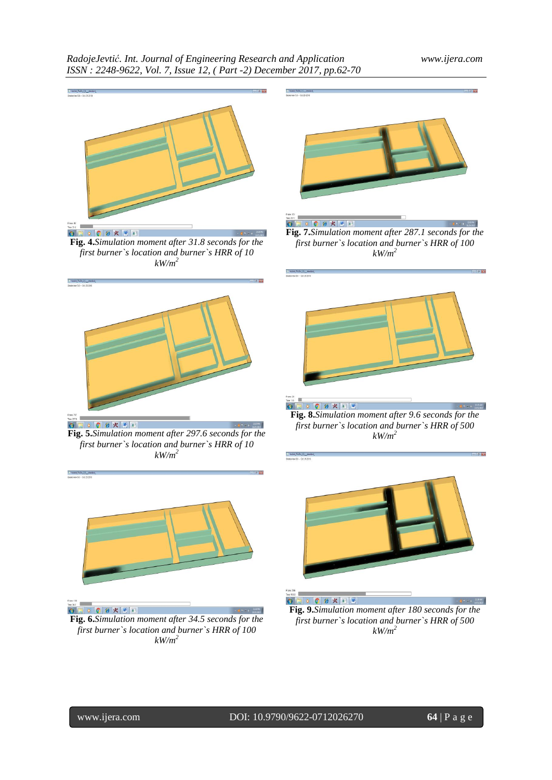

**Fig. 4.***Simulation moment after 31.8 seconds for the* **Fig.** 4.*Simulation moment after 31.8 seconds for the first burner`s location and burner`s HRR of 10 kW/m<sup>2</sup>*



**Fig. 5.***Simulation moment after 297.6 seconds for the first burner`s location and burner`s HRR of 10 kW/m<sup>2</sup>*



 $\bullet \texttt{S} \bullet \texttt{S} \bullet \texttt{R} \texttt{E} \texttt{I}$ 

**Fig. 6.***Simulation moment after 34.5 seconds for the first burner`s location and burner`s HRR of 100 kW/m<sup>2</sup>*



OCHKE  $\bullet$  : **Fig. 7.***Simulation moment after 287.1 seconds for the first burner`s location and burner`s HRR of 100 kW/m<sup>2</sup>*



**Fig. 8.***Simulation moment after 9.6 seconds for the first burner`s location and burner`s HRR of 500 kW/m<sup>2</sup>*



**Fig. 9.***Simulation moment after 180 seconds for the first burner`s location and burner`s HRR of 500 kW/m<sup>2</sup>*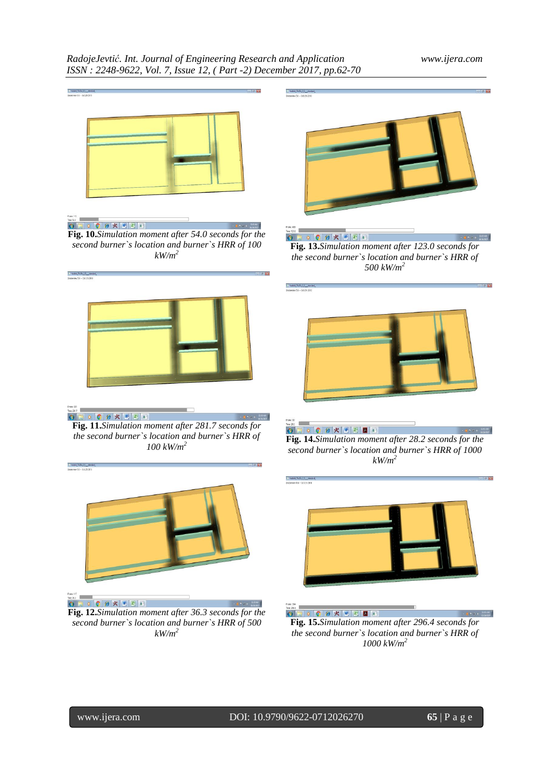# *RadojeJevtić. Int. Journal of Engineering Research and Application www.ijera.com ISSN : 2248-9622, Vol. 7, Issue 12, ( Part -2) December 2017, pp.62-70*







**Fig. 11.***Simulation moment after 281.7 seconds for*   $4.11344M$ *the second burner`s location and burner`s HRR of 100 kW/m<sup>2</sup>*



**Fig. 12.***Simulation moment after 36.3 seconds for the second burner`s location and burner`s HRR of 500 kW/m<sup>2</sup>*



 $\bullet \bullet \bullet \bullet \bullet \star \bullet \bullet$ 

**Fig. 13.***Simulation moment after 123.0 seconds for the second burner`s location and burner`s HRR of 500 kW/m<sup>2</sup>*



GEOGRKKED **Fig. 14.***Simulation moment after 28.2 seconds for the second burner`s location and burner`s HRR of 1000 kW/m<sup>2</sup>*



 $\bullet$   $\bullet$   $\bullet$   $\bullet$   $\mathbb{Z}$   $\bullet$   $\bullet$   $\mathbb{Z}$   $\bullet$   $\bullet$ **Fig. 15.***Simulation moment after 296.4 seconds for the second burner`s location and burner`s HRR of 1000 kW/m<sup>2</sup>*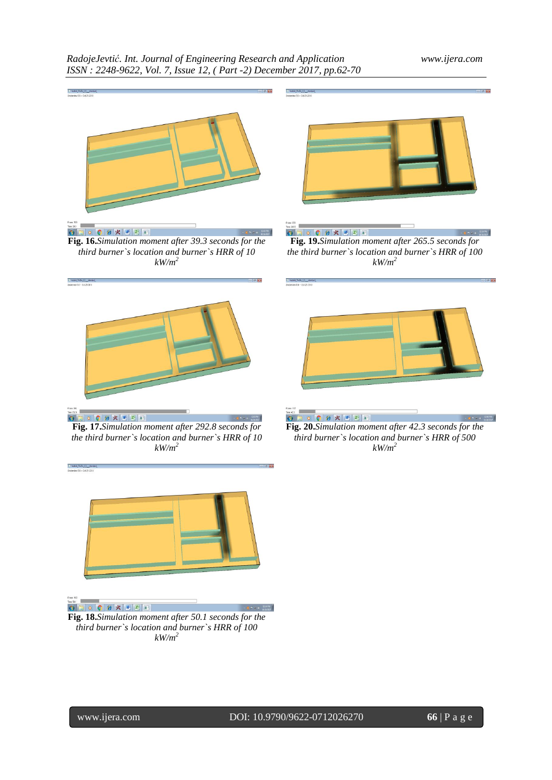# *RadojeJevtić. Int. Journal of Engineering Research and Application www.ijera.com ISSN : 2248-9622, Vol. 7, Issue 12, ( Part -2) December 2017, pp.62-70*



**Fig. 17.***Simulation moment after 292.8 seconds for the third burner`s location and burner`s HRR of 10 kW/m<sup>2</sup>*





 $\bullet \qquad \bullet \qquad \bullet \qquad \bullet \qquad \times \qquad \qquad \blacksquare$ 

**Fig. 18.***Simulation moment after 50.1 seconds for the third burner`s location and burner`s HRR of 100 kW/m<sup>2</sup>*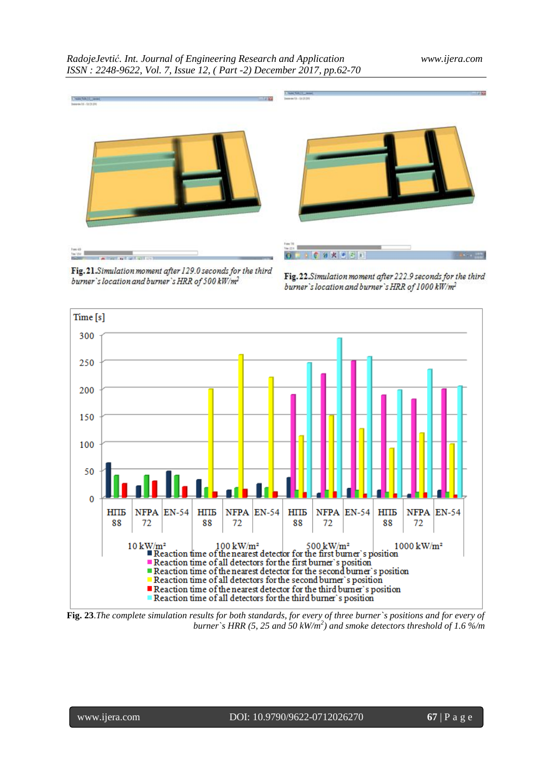

Fig. 21. Simulation moment after 129.0 seconds for the third burner's location and burner's HRR of 500 kW/m<sup>2</sup>

Fig. 22. Simulation moment after 222.9 seconds for the third burner's location and burner's HRR of 1000 kW/m<sup>2</sup>



**Fig. 23**.*The complete simulation results for both standards, for every of three burner`s positions and for every of burner`s HRR (5, 25 and 50 kW/m<sup>2</sup> ) and smoke detectors threshold of 1.6 %/m*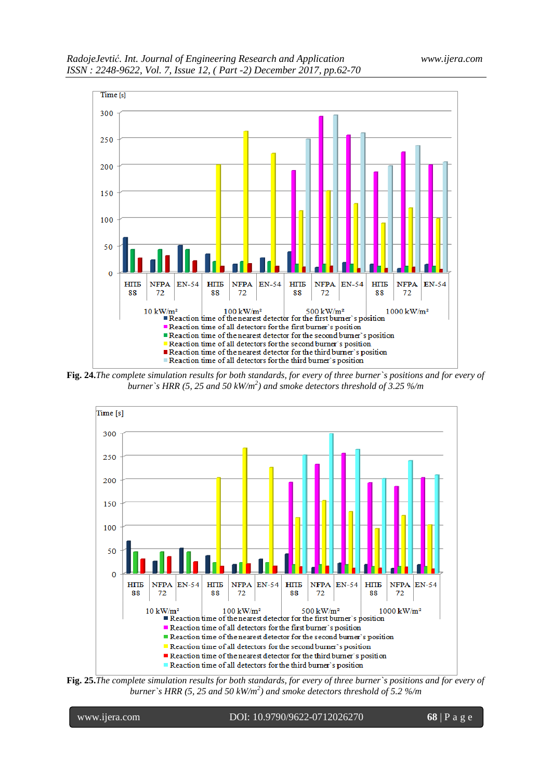



**Fig. 24.***The complete simulation results for both standards, for every of three burner`s positions and for every of burner`s HRR (5, 25 and 50 kW/m<sup>2</sup> ) and smoke detectors threshold of 3.25 %/m*



**Fig. 25.***The complete simulation results for both standards, for every of three burner`s positions and for every of burner`s HRR (5, 25 and 50 kW/m<sup>2</sup> ) and smoke detectors threshold of 5.2 %/m*

www.ijera.com DOI: 10.9790/9622-0712026270 **68** | P a g e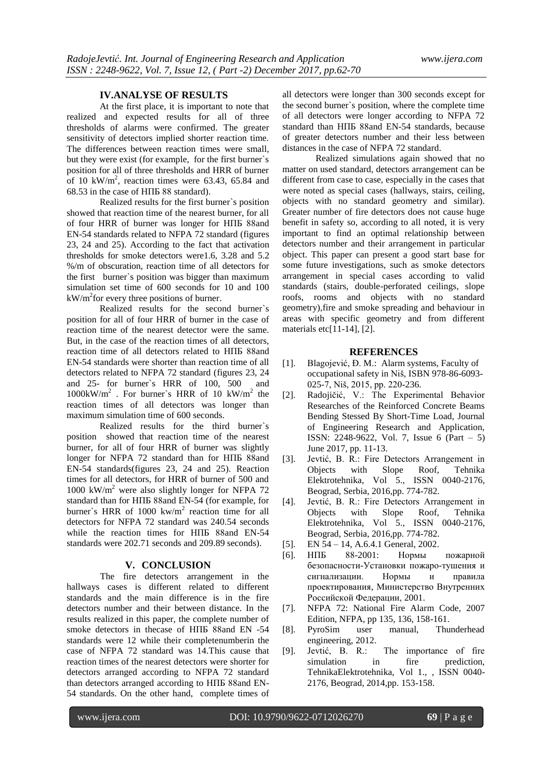#### **IV.ANALYSE OF RESULTS**

At the first place, it is important to note that realized and expected results for all of three thresholds of alarms were confirmed. The greater sensitivity of detectors implied shorter reaction time. The differences between reaction times were small, but they were exist (for example, for the first burner`s position for all of three thresholds and HRR of burner of 10 kW/m<sup>2</sup>, reaction times were 63.43, 65.84 and 68.53 in the case of НПБ 88 standard).

Realized results for the first burner`s position showed that reaction time of the nearest burner, for all of four HRR of burner was longer for НПБ 88and EN-54 standards related to NFPA 72 standard (figures 23, 24 and 25). According to the fact that activation thresholds for smoke detectors were1.6, 3.28 and 5.2 %/m of obscuration, reaction time of all detectors for the first burner`s position was bigger than maximum simulation set time of 600 seconds for 10 and 100  $kW/m<sup>2</sup>$  for every three positions of burner.

Realized results for the second burner`s position for all of four HRR of burner in the case of reaction time of the nearest detector were the same. But, in the case of the reaction times of all detectors, reaction time of all detectors related to НПБ 88and EN-54 standards were shorter than reaction time of all detectors related to NFPA 72 standard (figures 23, 24 and 25- for burner`s HRR of 100, 500 and  $1000 \text{kW/m}^2$ . For burner's HRR of 10 kW/m<sup>2</sup> the reaction times of all detectors was longer than maximum simulation time of 600 seconds.

Realized results for the third burner`s position showed that reaction time of the nearest burner, for all of four HRR of burner was slightly longer for NFPA 72 standard than for НПБ 88and EN-54 standards(figures 23, 24 and 25). Reaction times for all detectors, for HRR of burner of 500 and 1000 kW/m<sup>2</sup> were also slightly longer for NFPA 72 standard than for НПБ 88and EN-54 (for example, for burner's HRR of 1000 kw/ $m<sup>2</sup>$  reaction time for all detectors for NFPA 72 standard was 240.54 seconds while the reaction times for НПБ 88and EN-54 standards were 202.71 seconds and 209.89 seconds).

#### **V. CONCLUSION**

The fire detectors arrangement in the hallways cases is different related to different standards and the main difference is in the fire detectors number and their between distance. In the results realized in this paper, the complete number of smoke detectors in thecase of HITE 88and EN -54 standards were 12 while their completenumberin the case of NFPA 72 standard was 14.This cause that reaction times of the nearest detectors were shorter for detectors arranged according to NFPA 72 standard than detectors arranged according to НПБ 88and EN-54 standards. On the other hand, complete times of all detectors were longer than 300 seconds except for the second burner`s position, where the complete time of all detectors were longer according to NFPA 72 standard than НПБ 88and EN-54 standards, because of greater detectors number and their less between distances in the case of NFPA 72 standard.

Realized simulations again showed that no matter on used standard, detectors arrangement can be different from case to case, especially in the cases that were noted as special cases (hallways, stairs, ceiling, objects with no standard geometry and similar). Greater number of fire detectors does not cause huge benefit in safety so, according to all noted, it is very important to find an optimal relationship between detectors number and their arrangement in particular object. This paper can present a good start base for some future investigations, such as smoke detectors arrangement in special cases according to valid standards (stairs, double-perforated ceilings, slope roofs, rooms and objects with no standard geometry),fire and smoke spreading and behaviour in areas with specific geometry and from different materials etc[11-14], [2].

#### **REFERENCES**

- [1]. Blagojević, Đ. M.: Alarm systems, Faculty of occupational safety in Niš, ISBN 978-86-6093- 025-7, Niš, 2015, pp. 220-236.
- [2]. Radojičić, V.: The Experimental Behavior Researches of the Reinforced Concrete Beams Bending Stessed By Short-Time Load, Journal of Engineering Research and Application, ISSN: 2248-9622, Vol. 7, Issue 6 (Part – 5) June 2017, pp. 11-13.
- [3]. Jevtić, B. R.: Fire Detectors Arrangement in Objects with Slope Roof, Tehnika Elektrotehnika, Vol 5., ISSN 0040-2176, Beograd, Serbia, 2016,pp. 774-782.
- [4]. Jevtić, B. R.: Fire Detectors Arrangement in Objects with Slope Roof, Tehnika Elektrotehnika, Vol 5., ISSN 0040-2176, Beograd, Serbia, 2016,pp. 774-782.
- [5]. EN 54 14, A.6.4.1 General, 2002.
- [6]. НПБ 88-2001: Нормы пожарной безопасности-Установки пожаро-тушения и сигнализации. Нормы и правила проектирования, Министерство Внутренних Российской Федерации, 2001.
- [7]. NFPA 72: National Fire Alarm Code, 2007 Edition, NFPA, pp 135, 136, 158-161.
- [8]. PyroSim user manual, Thunderhead engineering, 2012.
- [9]. Jevtić, B. R.: The importance of fire simulation in fire prediction, TehnikaElektrotehnika, Vol 1., , ISSN 0040- 2176, Beograd, 2014,pp. 153-158.